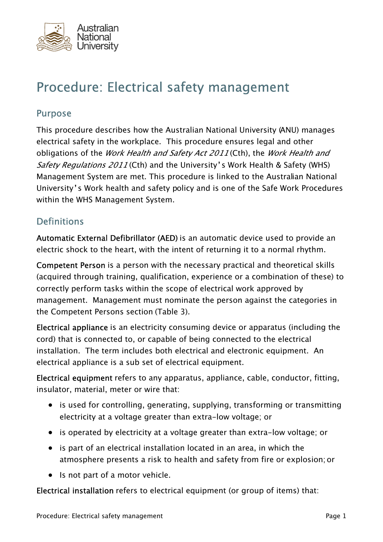

# Procedure: Electrical safety management

### Purpose

This procedure describes how the Australian National University (ANU) manages electrical safety in the workplace. This procedure ensures legal and other obligations of the *Work Health and Safety Act 2011* (Cth), the *Work Health and* Safety Regulations 2011 (Cth) and the University's Work Health & Safety (WHS) Management System are met. This procedure is linked to the Australian National University's Work health and safety policy and is one of the Safe Work Procedures within the WHS Management System.

### **Definitions**

Automatic External Defibrillator (AED) is an automatic device used to provide an electric shock to the heart, with the intent of returning it to a normal rhythm.

Competent Person is a person with the necessary practical and theoretical skills (acquired through training, qualification, experience or a combination of these) to correctly perform tasks within the scope of electrical work approved by management. Management must nominate the person against the categories in the Competent Persons section (Table 3).

Electrical appliance is an electricity consuming device or apparatus (including the cord) that is connected to, or capable of being connected to the electrical installation. The term includes both electrical and electronic equipment. An electrical appliance is a sub set of electrical equipment.

Electrical equipment refers to any apparatus, appliance, cable, conductor, fitting, insulator, material, meter or wire that:

- is used for controlling, generating, supplying, transforming or transmitting electricity at a voltage greater than extra-low voltage; or
- is operated by electricity at a voltage greater than extra-low voltage; or
- is part of an electrical installation located in an area, in which the atmosphere presents a risk to health and safety from fire or explosion; or
- Is not part of a motor vehicle.

Electrical installation refers to electrical equipment (or group of items) that: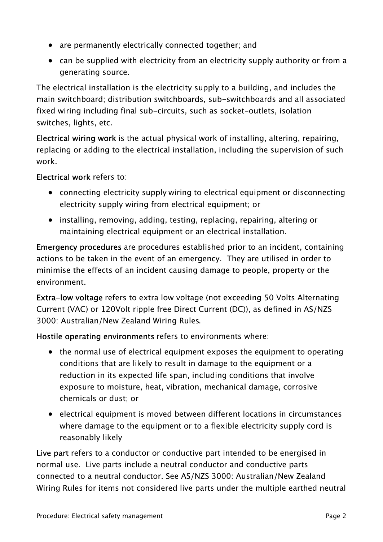- are permanently electrically connected together; and
- can be supplied with electricity from an electricity supply authority or from a generating source.

The electrical installation is the electricity supply to a building, and includes the main switchboard; distribution switchboards, sub-switchboards and all associated fixed wiring including final sub-circuits, such as socket-outlets, isolation switches, lights, etc.

Electrical wiring work is the actual physical work of installing, altering, repairing, replacing or adding to the electrical installation, including the supervision of such work.

### Electrical work refers to:

- connecting electricity supply wiring to electrical equipment or disconnecting electricity supply wiring from electrical equipment; or
- installing, removing, adding, testing, replacing, repairing, altering or maintaining electrical equipment or an electrical installation.

Emergency procedures are procedures established prior to an incident, containing actions to be taken in the event of an emergency. They are utilised in order to minimise the effects of an incident causing damage to people, property or the environment.

Extra-low voltage refers to extra low voltage (not exceeding 50 Volts Alternating Current (VAC) or 120Volt ripple free Direct Current (DC)), as defined in AS/NZS 3000: Australian/New Zealand Wiring Rules.

Hostile operating environments refers to environments where:

- the normal use of electrical equipment exposes the equipment to operating conditions that are likely to result in damage to the equipment or a reduction in its expected life span, including conditions that involve exposure to moisture, heat, vibration, mechanical damage, corrosive chemicals or dust; or
- electrical equipment is moved between different locations in circumstances where damage to the equipment or to a flexible electricity supply cord is reasonably likely

Live part refers to a conductor or conductive part intended to be energised in normal use. Live parts include a neutral conductor and conductive parts connected to a neutral conductor. See AS/NZS 3000: Australian/New Zealand Wiring Rules for items not considered live parts under the multiple earthed neutral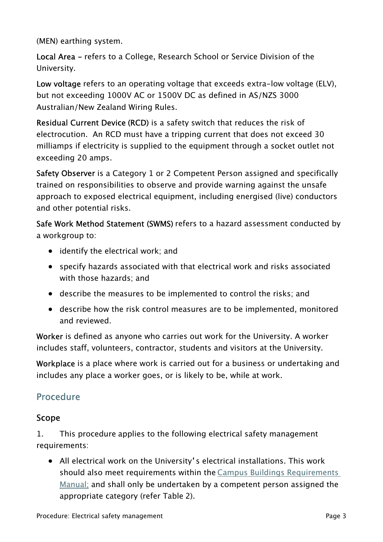(MEN) earthing system.

Local Area - refers to a College, Research School or Service Division of the University.

Low voltage refers to an operating voltage that exceeds extra-low voltage (ELV), but not exceeding 1000V AC or 1500V DC as defined in AS/NZS 3000 Australian/New Zealand Wiring Rules.

Residual Current Device (RCD) is a safety switch that reduces the risk of electrocution. An RCD must have a tripping current that does not exceed 30 milliamps if electricity is supplied to the equipment through a socket outlet not exceeding 20 amps.

Safety Observer is a Category 1 or 2 Competent Person assigned and specifically trained on responsibilities to observe and provide warning against the unsafe approach to exposed electrical equipment, including energised (live) conductors and other potential risks.

Safe Work Method Statement (SWMS) refers to a hazard assessment conducted by a workgroup to:

- identify the electrical work; and
- specify hazards associated with that electrical work and risks associated with those hazards; and
- describe the measures to be implemented to control the risks; and
- describe how the risk control measures are to be implemented, monitored and reviewed.

Worker is defined as anyone who carries out work for the University. A worker includes staff, volunteers, contractor, students and visitors at the University.

Workplace is a place where work is carried out for a business or undertaking and includes any place a worker goes, or is likely to be, while at work.

# Procedure

#### Scope

1. This procedure applies to the following electrical safety management requirements:

• All electrical work on the University's electrical installations. This work should also meet requirements within the [Campus Buildings Requirements](https://services.anu.edu.au/campus-environment/building-management/contractors-consultants)  [Manual](https://services.anu.edu.au/campus-environment/building-management/contractors-consultants); and shall only be undertaken by a competent person assigned the appropriate category (refer Table 2).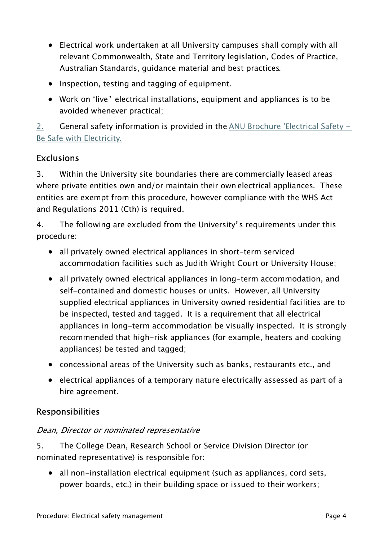- Electrical work undertaken at all University campuses shall comply with all relevant Commonwealth, State and Territory legislation, Codes of Practice, Australian Standards, guidance material and best practices.
- Inspection, testing and tagging of equipment.
- Work on 'live' electrical installations, equipment and appliances is to be avoided whenever practical;

2. General safety information is provided in the  $\triangle$ NU Brochure 'Electrical Safety – [Be Safe with Electricity](https://policies.anu.edu.au/ppl/document/ANUP_001076).

# **Exclusions**

3. Within the University site boundaries there are commercially leased areas where private entities own and/or maintain their own electrical appliances. These entities are exempt from this procedure, however compliance with the WHS Act and Regulations 2011 (Cth) is required.

4. The following are excluded from the University's requirements under this procedure:

- all privately owned electrical appliances in short-term serviced accommodation facilities such as Judith Wright Court or University House;
- all privately owned electrical appliances in long-term accommodation, and self-contained and domestic houses or units. However, all University supplied electrical appliances in University owned residential facilities are to be inspected, tested and tagged. It is a requirement that all electrical appliances in long-term accommodation be visually inspected. It is strongly recommended that high-risk appliances (for example, heaters and cooking appliances) be tested and tagged;
- concessional areas of the University such as banks, restaurants etc., and
- electrical appliances of a temporary nature electrically assessed as part of a hire agreement.

# Responsibilities

#### Dean, Director or nominated representative

5. The College Dean, Research School or Service Division Director (or nominated representative) is responsible for:

• all non-installation electrical equipment (such as appliances, cord sets, power boards, etc.) in their building space or issued to their workers;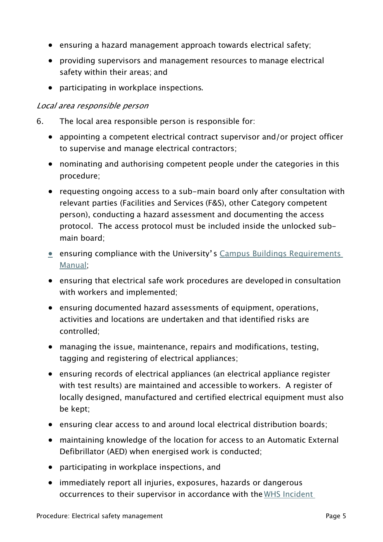- ensuring a hazard management approach towards electrical safety;
- providing supervisors and management resources to manage electrical safety within their areas; and
- participating in workplace inspections.

#### Local area responsible person

- 6. The local area responsible person is responsible for:
	- appointing a competent electrical contract supervisor and/or project officer to supervise and manage electrical contractors;
	- nominating and authorising competent people under the categories in this procedure;
	- requesting ongoing access to a sub-main board only after consultation with relevant parties (Facilities and Services (F&S), other Category competent person), conducting a hazard assessment and documenting the access protocol. The access protocol must be included inside the unlocked submain board;
	- ensuring compliance with the University's Campus Buildings Requirements [Manual](https://services.anu.edu.au/campus-environment/building-management/contractors-consultants);
	- ensuring that electrical safe work procedures are developed in consultation with workers and implemented;
	- ensuring documented hazard assessments of equipment, operations, activities and locations are undertaken and that identified risks are controlled;
	- managing the issue, maintenance, repairs and modifications, testing, tagging and registering of electrical appliances;
	- ensuring records of electrical appliances (an electrical appliance register with test results) are maintained and accessible to workers. A register of locally designed, manufactured and certified electrical equipment must also be kept;
	- ensuring clear access to and around local electrical distribution boards;
	- maintaining knowledge of the location for access to an Automatic External Defibrillator (AED) when energised work is conducted;
	- participating in workplace inspections, and
	- immediately report all injuries, exposures, hazards or dangerous occurrences to their supervisor in accordance with the [WHS Incident](https://policies.anu.edu.au/ppl/document/ANUP_015813)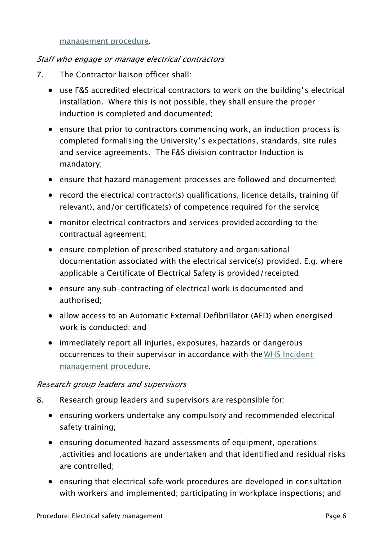#### [management procedure](https://policies.anu.edu.au/ppl/document/ANUP_015813).

#### Staff who engage or manage electrical contractors

- 7. The Contractor liaison officer shall:
	- use F&S accredited electrical contractors to work on the building's electrical installation. Where this is not possible, they shall ensure the proper induction is completed and documented;
	- ensure that prior to contractors commencing work, an induction process is completed formalising the University's expectations, standards, site rules and service agreements. The F&S division contractor Induction is mandatory;
	- ensure that hazard management processes are followed and documented;
	- record the electrical contractor(s) qualifications, licence details, training (if relevant), and/or certificate(s) of competence required for the service;
	- monitor electrical contractors and services provided according to the contractual agreement;
	- ensure completion of prescribed statutory and organisational documentation associated with the electrical service(s) provided. E.g. where applicable a Certificate of Electrical Safety is provided/receipted;
	- ensure any sub-contracting of electrical work is documented and authorised;
	- allow access to an Automatic External Defibrillator (AED) when energised work is conducted; and
	- immediately report all injuries, exposures, hazards or dangerous occurrences to their supervisor in accordance with the WHS Incident [management procedure](https://policies.anu.edu.au/ppl/document/ANUP_015813).

#### Research group leaders and supervisors

- 8. Research group leaders and supervisors are responsible for:
	- ensuring workers undertake any compulsory and recommended electrical safety training;
	- ensuring documented hazard assessments of equipment, operations ,activities and locations are undertaken and that identified and residual risks are controlled;
	- ensuring that electrical safe work procedures are developed in consultation with workers and implemented; participating in workplace inspections; and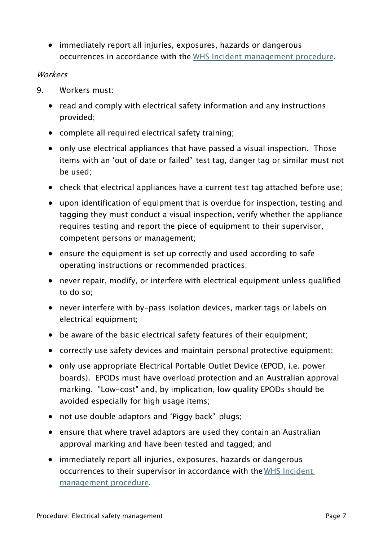• immediately report all injuries, exposures, hazards or dangerous occurrences in accordance with the [WHS Incident management procedure](https://policies.anu.edu.au/ppl/document/ANUP_015813).

#### **Workers**

- 9. Workers must:
	- read and comply with electrical safety information and any instructions provided;
	- complete all required electrical safety training;
	- only use electrical appliances that have passed a visual inspection. Those items with an 'out of date or failed' test tag, danger tag or similar must not be used;
	- check that electrical appliances have a current test tag attached before use;
	- upon identification of equipment that is overdue for inspection, testing and tagging they must conduct a visual inspection, verify whether the appliance requires testing and report the piece of equipment to their supervisor, competent persons or management;
	- ensure the equipment is set up correctly and used according to safe operating instructions or recommended practices;
	- never repair, modify, or interfere with electrical equipment unless qualified to do so;
	- never interfere with by-pass isolation devices, marker tags or labels on electrical equipment;
	- be aware of the basic electrical safety features of their equipment;
	- correctly use safety devices and maintain personal protective equipment;
	- only use appropriate Electrical Portable Outlet Device (EPOD, i.e. power boards). EPODs must have overload protection and an Australian approval marking. "Low-cost" and, by implication, low quality EPODs should be avoided especially for high usage items;
	- not use double adaptors and 'Piggy back' plugs;
	- ensure that where travel adaptors are used they contain an Australian approval marking and have been tested and tagged; and
	- immediately report all injuries, exposures, hazards or dangerous occurrences to their supervisor in accordance with the [WHS Incident](https://policies.anu.edu.au/ppl/document/ANUP_015813)  [management procedure](https://policies.anu.edu.au/ppl/document/ANUP_015813).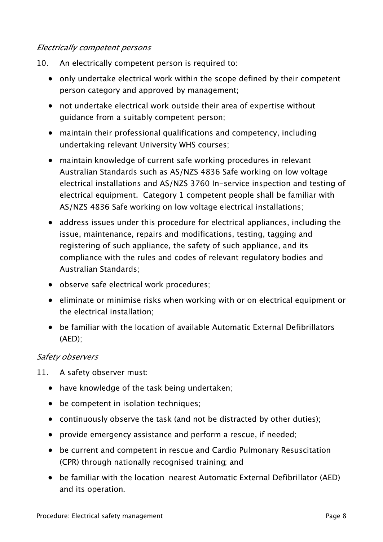#### Electrically competent persons

- 10. An electrically competent person is required to:
	- only undertake electrical work within the scope defined by their competent person category and approved by management;
	- not undertake electrical work outside their area of expertise without guidance from a suitably competent person;
	- maintain their professional qualifications and competency, including undertaking relevant University WHS courses;
	- maintain knowledge of current safe working procedures in relevant Australian Standards such as AS/NZS 4836 Safe working on low voltage electrical installations and AS/NZS 3760 In-service inspection and testing of electrical equipment. Category 1 competent people shall be familiar with AS/NZS 4836 Safe working on low voltage electrical installations;
	- address issues under this procedure for electrical appliances, including the issue, maintenance, repairs and modifications, testing, tagging and registering of such appliance, the safety of such appliance, and its compliance with the rules and codes of relevant regulatory bodies and Australian Standards;
	- observe safe electrical work procedures;
	- eliminate or minimise risks when working with or on electrical equipment or the electrical installation;
	- be familiar with the location of available Automatic External Defibrillators (AED);

#### Safety observers

- 11. A safety observer must:
	- have knowledge of the task being undertaken;
	- be competent in isolation techniques;
	- continuously observe the task (and not be distracted by other duties);
	- provide emergency assistance and perform a rescue, if needed;
	- be current and competent in rescue and Cardio Pulmonary Resuscitation (CPR) through nationally recognised training; and
	- be familiar with the location nearest Automatic External Defibrillator (AED) and its operation.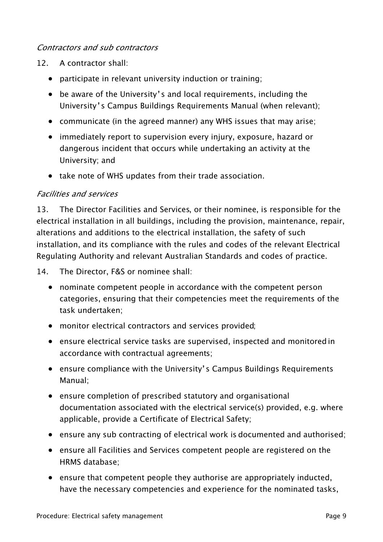#### Contractors and sub contractors

- 12. A contractor shall:
	- participate in relevant university induction or training;
	- be aware of the University's and local requirements, including the University's Campus Buildings Requirements Manual (when relevant);
	- communicate (in the agreed manner) any WHS issues that may arise;
	- immediately report to supervision every injury, exposure, hazard or dangerous incident that occurs while undertaking an activity at the University; and
	- take note of WHS updates from their trade association.

#### Facilities and services

13. The Director Facilities and Services, or their nominee, is responsible for the electrical installation in all buildings, including the provision, maintenance, repair, alterations and additions to the electrical installation, the safety of such installation, and its compliance with the rules and codes of the relevant Electrical Regulating Authority and relevant Australian Standards and codes of practice.

14. The Director, F&S or nominee shall:

- nominate competent people in accordance with the competent person categories, ensuring that their competencies meet the requirements of the task undertaken;
- monitor electrical contractors and services provided;
- ensure electrical service tasks are supervised, inspected and monitored in accordance with contractual agreements;
- ensure compliance with the University's Campus Buildings Requirements Manual;
- ensure completion of prescribed statutory and organisational documentation associated with the electrical service(s) provided, e.g. where applicable, provide a Certificate of Electrical Safety;
- ensure any sub contracting of electrical work is documented and authorised;
- ensure all Facilities and Services competent people are registered on the HRMS database;
- ensure that competent people they authorise are appropriately inducted, have the necessary competencies and experience for the nominated tasks,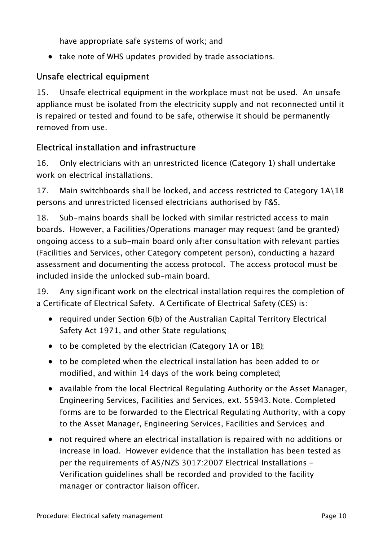have appropriate safe systems of work; and

• take note of WHS updates provided by trade associations.

### Unsafe electrical equipment

15. Unsafe electrical equipment in the workplace must not be used. An unsafe appliance must be isolated from the electricity supply and not reconnected until it is repaired or tested and found to be safe, otherwise it should be permanently removed from use.

### Electrical installation and infrastructure

16. Only electricians with an unrestricted licence (Category 1) shall undertake work on electrical installations.

17. Main switchboards shall be locked, and access restricted to Category  $1A\setminus1B$ persons and unrestricted licensed electricians authorised by F&S.

18. Sub-mains boards shall be locked with similar restricted access to main boards. However, a Facilities/Operations manager may request (and be granted) ongoing access to a sub-main board only after consultation with relevant parties (Facilities and Services, other Category competent person), conducting a hazard assessment and documenting the access protocol. The access protocol must be included inside the unlocked sub-main board.

19. Any significant work on the electrical installation requires the completion of a Certificate of Electrical Safety. A Certificate of Electrical Safety (CES) is:

- required under Section 6(b) of the Australian Capital Territory Electrical Safety Act 1971, and other State regulations;
- to be completed by the electrician (Category 1A or 1B);
- to be completed when the electrical installation has been added to or modified, and within 14 days of the work being completed;
- available from the local Electrical Regulating Authority or the Asset Manager, Engineering Services, Facilities and Services, ext. 55943. Note. Completed forms are to be forwarded to the Electrical Regulating Authority, with a copy to the Asset Manager, Engineering Services, Facilities and Services; and
- not required where an electrical installation is repaired with no additions or increase in load. However evidence that the installation has been tested as per the requirements of AS/NZS 3017:2007 Electrical Installations – Verification guidelines shall be recorded and provided to the facility manager or contractor liaison officer.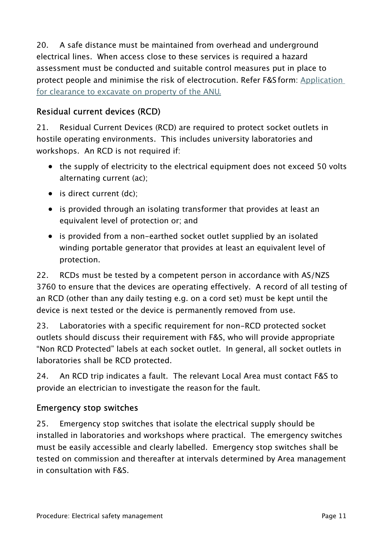20. A safe distance must be maintained from overhead and underground electrical lines. When access close to these services is required a hazard assessment must be conducted and suitable control measures put in place to protect people and minimise the risk of electrocution. Refer F&S form: [Application](https://services.anu.edu.au/files/guidance/Permission_to_dig_form.pdf)  [for clearance to excavate on property of the ANU.](https://services.anu.edu.au/files/guidance/Permission_to_dig_form.pdf)

## Residual current devices (RCD)

21. Residual Current Devices (RCD) are required to protect socket outlets in hostile operating environments. This includes university laboratories and workshops. An RCD is not required if:

- the supply of electricity to the electrical equipment does not exceed 50 volts alternating current (ac);
- is direct current (dc):
- is provided through an isolating transformer that provides at least an equivalent level of protection or; and
- is provided from a non-earthed socket outlet supplied by an isolated winding portable generator that provides at least an equivalent level of protection.

22. RCDs must be tested by a competent person in accordance with AS/NZS 3760 to ensure that the devices are operating effectively. A record of all testing of an RCD (other than any daily testing e.g. on a cord set) must be kept until the device is next tested or the device is permanently removed from use.

23. Laboratories with a specific requirement for non-RCD protected socket outlets should discuss their requirement with F&S, who will provide appropriate "Non RCD Protected" labels at each socket outlet. In general, all socket outlets in laboratories shall be RCD protected.

24. An RCD trip indicates a fault. The relevant Local Area must contact F&S to provide an electrician to investigate the reason for the fault.

### Emergency stop switches

25. Emergency stop switches that isolate the electrical supply should be installed in laboratories and workshops where practical. The emergency switches must be easily accessible and clearly labelled. Emergency stop switches shall be tested on commission and thereafter at intervals determined by Area management in consultation with F&S.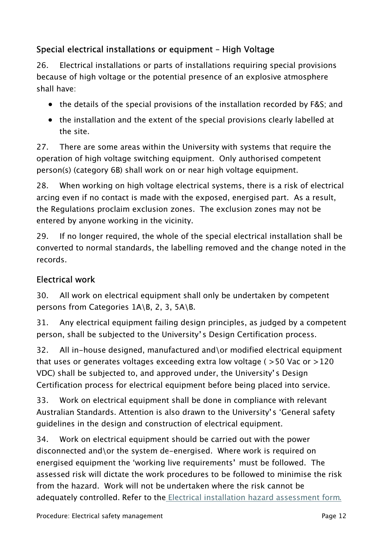# Special electrical installations or equipment – High Voltage

26. Electrical installations or parts of installations requiring special provisions because of high voltage or the potential presence of an explosive atmosphere shall have:

- the details of the special provisions of the installation recorded by F&S; and
- the installation and the extent of the special provisions clearly labelled at the site.

27. There are some areas within the University with systems that require the operation of high voltage switching equipment. Only authorised competent person(s) (category 6B) shall work on or near high voltage equipment.

28. When working on high voltage electrical systems, there is a risk of electrical arcing even if no contact is made with the exposed, energised part. As a result, the Regulations proclaim exclusion zones. The exclusion zones may not be entered by anyone working in the vicinity.

29. If no longer required, the whole of the special electrical installation shall be converted to normal standards, the labelling removed and the change noted in the records.

### Electrical work

30. All work on electrical equipment shall only be undertaken by competent persons from Categories 1A\B, 2, 3, 5A\B.

31. Any electrical equipment failing design principles, as judged by a competent person, shall be subjected to the University's Design Certification process.

32. All in-house designed, manufactured and\or modified electrical equipment that uses or generates voltages exceeding extra low voltage ( >50 Vac or >120 VDC) shall be subjected to, and approved under, the University's Design Certification process for electrical equipment before being placed into service.

33. Work on electrical equipment shall be done in compliance with relevant Australian Standards. Attention is also drawn to the University's 'General safety guidelines in the design and construction of electrical equipment.

34. Work on electrical equipment should be carried out with the power disconnected and\or the system de-energised. Where work is required on energised equipment the 'working live requirements' must be followed. The assessed risk will dictate the work procedures to be followed to minimise the risk from the hazard. Work will not be undertaken where the risk cannot be adequately controlled. Refer to th[e Electrical installation hazard assessment form](https://policies.anu.edu.au/ppl/document/ANUP_001074).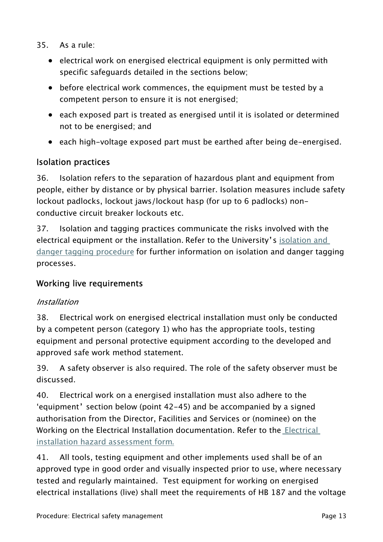- 35. As a rule:
	- electrical work on energised electrical equipment is only permitted with specific safeguards detailed in the sections below;
	- before electrical work commences, the equipment must be tested by a competent person to ensure it is not energised;
	- each exposed part is treated as energised until it is isolated or determined not to be energised; and
	- each high-voltage exposed part must be earthed after being de-energised.

### Isolation practices

36. Isolation refers to the separation of hazardous plant and equipment from people, either by distance or by physical barrier. Isolation measures include safety lockout padlocks, lockout jaws/lockout hasp (for up to 6 padlocks) nonconductive circuit breaker lockouts etc.

37. Isolation and tagging practices communicate the risks involved with the electrical equipment or the installation. Refer to the University's [isolation and](https://policies.anu.edu.au/ppl/document/ANUP_000571)  [danger tagging procedure](https://policies.anu.edu.au/ppl/document/ANUP_000571) for further information on isolation and danger tagging processes.

### Working live requirements

#### Installation

38. Electrical work on energised electrical installation must only be conducted by a competent person (category 1) who has the appropriate tools, testing equipment and personal protective equipment according to the developed and approved safe work method statement.

39. A safety observer is also required. The role of the safety observer must be discussed.

40. Electrical work on a energised installation must also adhere to the 'equipment' section below (point 42-45) and be accompanied by a signed authorisation from the Director, Facilities and Services or (nominee) on the Working on the Electrical Installation documentation. Refer to the [Electrical](https://policies.anu.edu.au/ppl/document/ANUP_001074)  [installation hazard assessment form](https://policies.anu.edu.au/ppl/document/ANUP_001074).

41. All tools, testing equipment and other implements used shall be of an approved type in good order and visually inspected prior to use, where necessary tested and regularly maintained. Test equipment for working on energised electrical installations (live) shall meet the requirements of HB 187 and the voltage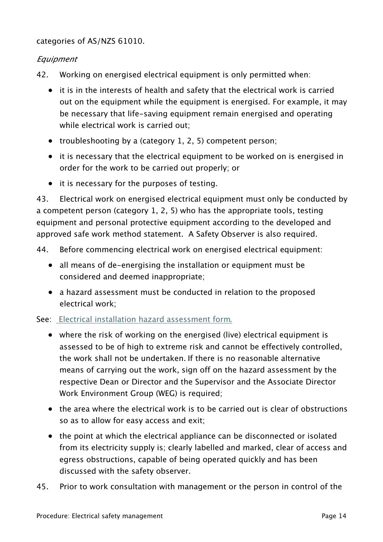categories of AS/NZS 61010.

#### **Equipment**

- 42. Working on energised electrical equipment is only permitted when:
	- it is in the interests of health and safety that the electrical work is carried out on the equipment while the equipment is energised. For example, it may be necessary that life-saving equipment remain energised and operating while electrical work is carried out;
	- troubleshooting by a (category 1, 2, 5) competent person;
	- it is necessary that the electrical equipment to be worked on is energised in order for the work to be carried out properly; or
	- it is necessary for the purposes of testing.

43. Electrical work on energised electrical equipment must only be conducted by a competent person (category 1, 2, 5) who has the appropriate tools, testing equipment and personal protective equipment according to the developed and approved safe work method statement. A Safety Observer is also required.

- 44. Before commencing electrical work on energised electrical equipment:
	- all means of de-energising the installation or equipment must be considered and deemed inappropriate;
	- a hazard assessment must be conducted in relation to the proposed electrical work;

See: [Electrical installation hazard assessment form](https://policies.anu.edu.au/ppl/document/ANUP_001074).

- where the risk of working on the energised (live) electrical equipment is assessed to be of high to extreme risk and cannot be effectively controlled, the work shall not be undertaken. If there is no reasonable alternative means of carrying out the work, sign off on the hazard assessment by the respective Dean or Director and the Supervisor and the Associate Director Work Environment Group (WEG) is required;
- the area where the electrical work is to be carried out is clear of obstructions so as to allow for easy access and exit;
- the point at which the electrical appliance can be disconnected or isolated from its electricity supply is; clearly labelled and marked, clear of access and egress obstructions, capable of being operated quickly and has been discussed with the safety observer.
- 45. Prior to work consultation with management or the person in control of the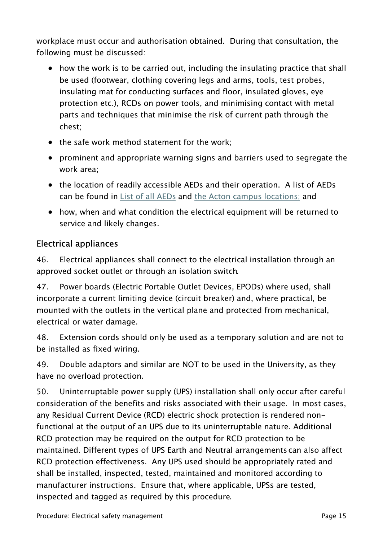workplace must occur and authorisation obtained. During that consultation, the following must be discussed:

- how the work is to be carried out, including the insulating practice that shall be used (footwear, clothing covering legs and arms, tools, test probes, insulating mat for conducting surfaces and floor, insulated gloves, eye protection etc.), RCDs on power tools, and minimising contact with metal parts and techniques that minimise the risk of current path through the chest;
- the safe work method statement for the work;
- prominent and appropriate warning signs and barriers used to segregate the work area;
- the location of readily accessible AEDs and their operation. A list of AEDs can be found in [List of all AEDs](https://services.anu.edu.au/system/files/document-collection/aed-locations.pdf) and the [Acton campus locations](https://services.anu.edu.au/human-resources/health-safety/implementation-and-operation/work-health-safety-whs-networks); and
- how, when and what condition the electrical equipment will be returned to service and likely changes.

### Electrical appliances

46. Electrical appliances shall connect to the electrical installation through an approved socket outlet or through an isolation switch.

47. Power boards (Electric Portable Outlet Devices, EPODs) where used, shall incorporate a current limiting device (circuit breaker) and, where practical, be mounted with the outlets in the vertical plane and protected from mechanical, electrical or water damage.

48. Extension cords should only be used as a temporary solution and are not to be installed as fixed wiring.

49. Double adaptors and similar are NOT to be used in the University, as they have no overload protection.

50. Uninterruptable power supply (UPS) installation shall only occur after careful consideration of the benefits and risks associated with their usage. In most cases, any Residual Current Device (RCD) electric shock protection is rendered nonfunctional at the output of an UPS due to its uninterruptable nature. Additional RCD protection may be required on the output for RCD protection to be maintained. Different types of UPS Earth and Neutral arrangements can also affect RCD protection effectiveness. Any UPS used should be appropriately rated and shall be installed, inspected, tested, maintained and monitored according to manufacturer instructions. Ensure that, where applicable, UPSs are tested, inspected and tagged as required by this procedure.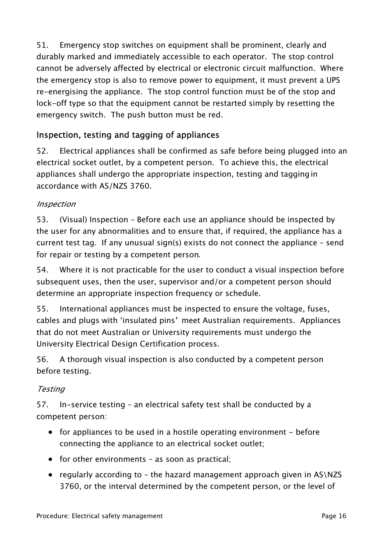51. Emergency stop switches on equipment shall be prominent, clearly and durably marked and immediately accessible to each operator. The stop control cannot be adversely affected by electrical or electronic circuit malfunction. Where the emergency stop is also to remove power to equipment, it must prevent a UPS re-energising the appliance. The stop control function must be of the stop and lock-off type so that the equipment cannot be restarted simply by resetting the emergency switch. The push button must be red.

# Inspection, testing and tagging of appliances

52. Electrical appliances shall be confirmed as safe before being plugged into an electrical socket outlet, by a competent person. To achieve this, the electrical appliances shall undergo the appropriate inspection, testing and taggingin accordance with AS/NZS 3760.

### Inspection

53. (Visual) Inspection – Before each use an appliance should be inspected by the user for any abnormalities and to ensure that, if required, the appliance has a current test tag. If any unusual sign(s) exists do not connect the appliance – send for repair or testing by a competent person.

54. Where it is not practicable for the user to conduct a visual inspection before subsequent uses, then the user, supervisor and/or a competent person should determine an appropriate inspection frequency or schedule.

55. International appliances must be inspected to ensure the voltage, fuses, cables and plugs with 'insulated pins' meet Australian requirements. Appliances that do not meet Australian or University requirements must undergo the University Electrical Design Certification process.

56. A thorough visual inspection is also conducted by a competent person before testing.

### **Testing**

57. In-service testing – an electrical safety test shall be conducted by a competent person:

- for appliances to be used in a hostile operating environment before connecting the appliance to an electrical socket outlet;
- for other environments as soon as practical;
- regularly according to the hazard management approach given in AS\NZS 3760, or the interval determined by the competent person, or the level of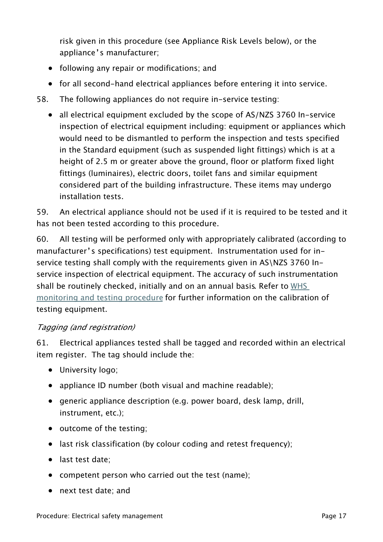risk given in this procedure (see Appliance Risk Levels below), or the appliance's manufacturer;

- following any repair or modifications; and
- for all second-hand electrical appliances before entering it into service.
- 58. The following appliances do not require in-service testing:
	- all electrical equipment excluded by the scope of AS/NZS 3760 In-service inspection of electrical equipment including: equipment or appliances which would need to be dismantled to perform the inspection and tests specified in the Standard equipment (such as suspended light fittings) which is at a height of 2.5 m or greater above the ground, floor or platform fixed light fittings (luminaires), electric doors, toilet fans and similar equipment considered part of the building infrastructure. These items may undergo installation tests.

59. An electrical appliance should not be used if it is required to be tested and it has not been tested according to this procedure.

60. All testing will be performed only with appropriately calibrated (according to manufacturer's specifications) test equipment. Instrumentation used for inservice testing shall comply with the requirements given in AS\NZS 3760 Inservice inspection of electrical equipment. The accuracy of such instrumentation shall be routinely checked, initially and on an annual basis. Refer to WHS [monitoring and testing procedure](https://policies.anu.edu.au/ppl/document/ANUP_015816) for further information on the calibration of testing equipment.

#### Tagging (and registration)

61. Electrical appliances tested shall be tagged and recorded within an electrical item register. The tag should include the:

- University logo;
- appliance ID number (both visual and machine readable);
- generic appliance description (e.g. power board, desk lamp, drill, instrument, etc.);
- outcome of the testing;
- last risk classification (by colour coding and retest frequency);
- last test date;
- competent person who carried out the test (name);
- next test date; and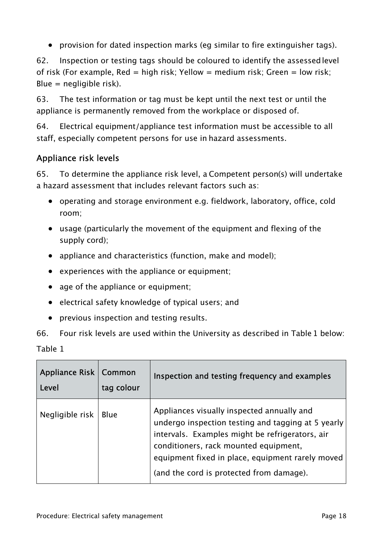• provision for dated inspection marks (eg similar to fire extinguisher tags).

62. Inspection or testing tags should be coloured to identify the assessed level of risk (For example, Red = high risk; Yellow = medium risk; Green = low risk; Blue = negligible risk).

63. The test information or tag must be kept until the next test or until the appliance is permanently removed from the workplace or disposed of.

64. Electrical equipment/appliance test information must be accessible to all staff, especially competent persons for use in hazard assessments.

### Appliance risk levels

65. To determine the appliance risk level, a Competent person(s) will undertake a hazard assessment that includes relevant factors such as:

- operating and storage environment e.g. fieldwork, laboratory, office, cold room;
- usage (particularly the movement of the equipment and flexing of the supply cord);
- appliance and characteristics (function, make and model);
- experiences with the appliance or equipment;
- age of the appliance or equipment;
- electrical safety knowledge of typical users; and
- previous inspection and testing results.

66. Four risk levels are used within the University as described in Table 1 below: Table 1

| Appliance Risk   Common<br>Level | tag colour  | Inspection and testing frequency and examples                                                                                                                                                                                                                                                |
|----------------------------------|-------------|----------------------------------------------------------------------------------------------------------------------------------------------------------------------------------------------------------------------------------------------------------------------------------------------|
| Negligible risk                  | <b>Blue</b> | Appliances visually inspected annually and<br>undergo inspection testing and tagging at 5 yearly<br>intervals. Examples might be refrigerators, air<br>conditioners, rack mounted equipment,<br>equipment fixed in place, equipment rarely moved<br>(and the cord is protected from damage). |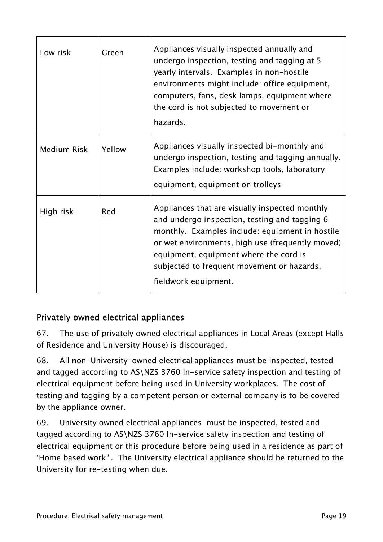| Low risk    | Green  | Appliances visually inspected annually and<br>undergo inspection, testing and tagging at 5<br>yearly intervals. Examples in non-hostile<br>environments might include: office equipment,<br>computers, fans, desk lamps, equipment where<br>the cord is not subjected to movement or<br>hazards.                       |
|-------------|--------|------------------------------------------------------------------------------------------------------------------------------------------------------------------------------------------------------------------------------------------------------------------------------------------------------------------------|
| Medium Risk | Yellow | Appliances visually inspected bi-monthly and<br>undergo inspection, testing and tagging annually.<br>Examples include: workshop tools, laboratory<br>equipment, equipment on trolleys                                                                                                                                  |
| High risk   | Red    | Appliances that are visually inspected monthly<br>and undergo inspection, testing and tagging 6<br>monthly. Examples include: equipment in hostile<br>or wet environments, high use (frequently moved)<br>equipment, equipment where the cord is<br>subjected to frequent movement or hazards,<br>fieldwork equipment. |

# Privately owned electrical appliances

67. The use of privately owned electrical appliances in Local Areas (except Halls of Residence and University House) is discouraged.

68. All non-University-owned electrical appliances must be inspected, tested and tagged according to AS\NZS 3760 In-service safety inspection and testing of electrical equipment before being used in University workplaces. The cost of testing and tagging by a competent person or external company is to be covered by the appliance owner.

69. University owned electrical appliances must be inspected, tested and tagged according to AS\NZS 3760 In-service safety inspection and testing of electrical equipment or this procedure before being used in a residence as part of 'Home based work'. The University electrical appliance should be returned to the University for re-testing when due.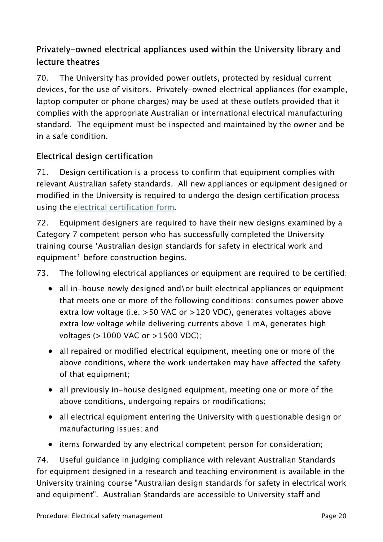# Privately-owned electrical appliances used within the University library and lecture theatres

70. The University has provided power outlets, protected by residual current devices, for the use of visitors. Privately-owned electrical appliances (for example, laptop computer or phone charges) may be used at these outlets provided that it complies with the appropriate Australian or international electrical manufacturing standard. The equipment must be inspected and maintained by the owner and be in a safe condition.

### Electrical design certification

71. Design certification is a process to confirm that equipment complies with relevant Australian safety standards. All new appliances or equipment designed or modified in the University is required to undergo the design certification process using the [electrical certification form](https://policies.anu.edu.au/ppl/document/ANUP_000958).

72. Equipment designers are required to have their new designs examined by a Category 7 competent person who has successfully completed the University training course 'Australian design standards for safety in electrical work and equipment' before construction begins.

73. The following electrical appliances or equipment are required to be certified:

- all in-house newly designed and\or built electrical appliances or equipment that meets one or more of the following conditions: consumes power above extra low voltage (i.e. >50 VAC or >120 VDC), generates voltages above extra low voltage while delivering currents above 1 mA, generates high voltages (>1000 VAC or >1500 VDC);
- all repaired or modified electrical equipment, meeting one or more of the above conditions, where the work undertaken may have affected the safety of that equipment;
- all previously in-house designed equipment, meeting one or more of the above conditions, undergoing repairs or modifications;
- all electrical equipment entering the University with questionable design or manufacturing issues; and
- items forwarded by any electrical competent person for consideration;

74. Useful guidance in judging compliance with relevant Australian Standards for equipment designed in a research and teaching environment is available in the University training course "Australian design standards for safety in electrical work and equipment". Australian Standards are accessible to University staff and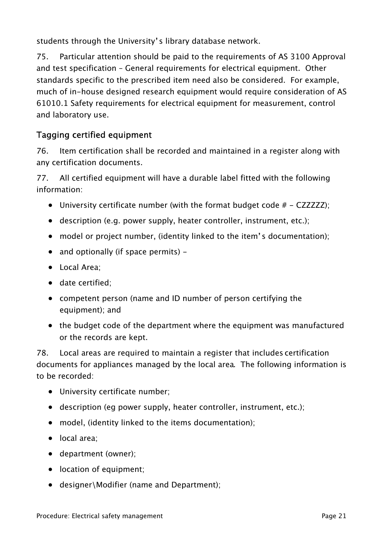students through the University's library database network.

75. Particular attention should be paid to the requirements of AS 3100 Approval and test specification – General requirements for electrical equipment. Other standards specific to the prescribed item need also be considered. For example, much of in-house designed research equipment would require consideration of AS 61010.1 Safety requirements for electrical equipment for measurement, control and laboratory use.

# Tagging certified equipment

76. Item certification shall be recorded and maintained in a register along with any certification documents.

77. All certified equipment will have a durable label fitted with the following information:

- University certificate number (with the format budget code  $# CZZZZZ$ );
- description (e.g. power supply, heater controller, instrument, etc.);
- model or project number, (identity linked to the item's documentation);
- and optionally (if space permits) –
- Local Area;
- date certified;
- competent person (name and ID number of person certifying the equipment); and
- the budget code of the department where the equipment was manufactured or the records are kept.

78. Local areas are required to maintain a register that includes certification documents for appliances managed by the local area. The following information is to be recorded:

- University certificate number;
- description (eg power supply, heater controller, instrument, etc.);
- model, (identity linked to the items documentation);
- local area;
- department (owner);
- location of equipment;
- designer\Modifier (name and Department);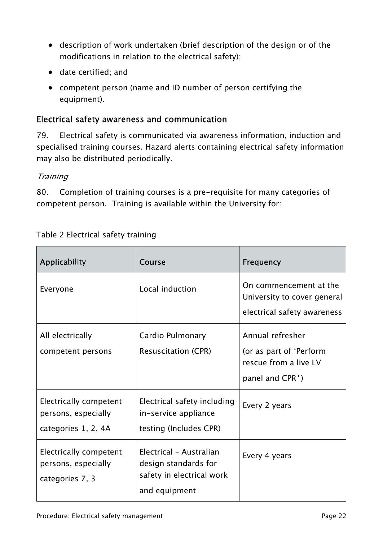- description of work undertaken (brief description of the design or of the modifications in relation to the electrical safety);
- date certified; and
- competent person (name and ID number of person certifying the equipment).

### Electrical safety awareness and communication

79. Electrical safety is communicated via awareness information, induction and specialised training courses. Hazard alerts containing electrical safety information may also be distributed periodically.

#### **Training**

80. Completion of training courses is a pre-requisite for many categories of competent person. Training is available within the University for:

| Applicability                                                               | Course                                                                                        | <b>Frequency</b>                                                                        |
|-----------------------------------------------------------------------------|-----------------------------------------------------------------------------------------------|-----------------------------------------------------------------------------------------|
| Everyone                                                                    | Local induction                                                                               | On commencement at the<br>University to cover general<br>electrical safety awareness    |
| All electrically<br>competent persons                                       | Cardio Pulmonary<br><b>Resuscitation (CPR)</b>                                                | Annual refresher<br>(or as part of 'Perform<br>rescue from a live LV<br>panel and CPR') |
| <b>Electrically competent</b><br>persons, especially<br>categories 1, 2, 4A | Electrical safety including<br>in-service appliance<br>testing (Includes CPR)                 | Every 2 years                                                                           |
| <b>Electrically competent</b><br>persons, especially<br>categories 7, 3     | Electrical - Australian<br>design standards for<br>safety in electrical work<br>and equipment | Every 4 years                                                                           |

#### Table 2 Electrical safety training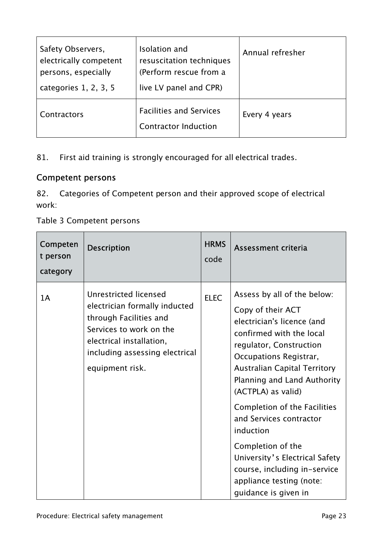| Safety Observers,<br>electrically competent<br>persons, especially<br>categories 1, 2, 3, 5 | Isolation and<br>resuscitation techniques<br>(Perform rescue from a<br>live LV panel and CPR) | Annual refresher |
|---------------------------------------------------------------------------------------------|-----------------------------------------------------------------------------------------------|------------------|
| Contractors                                                                                 | <b>Facilities and Services</b><br><b>Contractor Induction</b>                                 | Every 4 years    |

81. First aid training is strongly encouraged for all electrical trades.

### Competent persons

82. Categories of Competent person and their approved scope of electrical work:

Table 3 Competent persons

| Competen<br>t person<br>category | <b>Description</b>                                                                                                                                                                           | <b>HRMS</b><br>code | Assessment criteria                                                                                                                                                                                                                                                                                                                                                                                                                                                            |
|----------------------------------|----------------------------------------------------------------------------------------------------------------------------------------------------------------------------------------------|---------------------|--------------------------------------------------------------------------------------------------------------------------------------------------------------------------------------------------------------------------------------------------------------------------------------------------------------------------------------------------------------------------------------------------------------------------------------------------------------------------------|
| 1A                               | Unrestricted licensed<br>electrician formally inducted<br>through Facilities and<br>Services to work on the<br>electrical installation,<br>including assessing electrical<br>equipment risk. | <b>ELEC</b>         | Assess by all of the below:<br>Copy of their ACT<br>electrician's licence (and<br>confirmed with the local<br>regulator, Construction<br>Occupations Registrar,<br><b>Australian Capital Territory</b><br>Planning and Land Authority<br>(ACTPLA) as valid)<br>Completion of the Facilities<br>and Services contractor<br>induction<br>Completion of the<br>University's Electrical Safety<br>course, including in-service<br>appliance testing (note:<br>guidance is given in |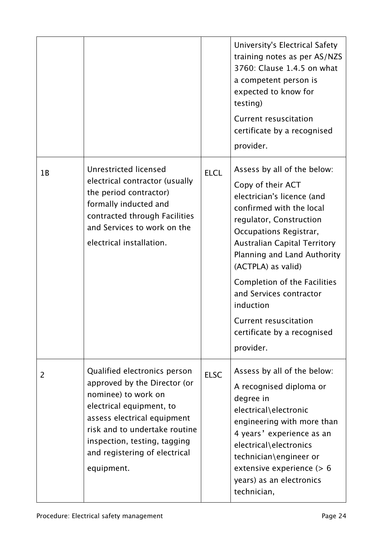|    |                                                                                                                                                                                                                                                                |             | University's Electrical Safety<br>training notes as per AS/NZS<br>3760: Clause 1.4.5 on what<br>a competent person is<br>expected to know for<br>testing)<br><b>Current resuscitation</b><br>certificate by a recognised<br>provider.                                                                                                                                                                    |
|----|----------------------------------------------------------------------------------------------------------------------------------------------------------------------------------------------------------------------------------------------------------------|-------------|----------------------------------------------------------------------------------------------------------------------------------------------------------------------------------------------------------------------------------------------------------------------------------------------------------------------------------------------------------------------------------------------------------|
| 1B | Unrestricted licensed<br>electrical contractor (usually<br>the period contractor)<br>formally inducted and<br>contracted through Facilities<br>and Services to work on the<br>electrical installation.                                                         | <b>ELCL</b> | Assess by all of the below:<br>Copy of their ACT<br>electrician's licence (and<br>confirmed with the local<br>regulator, Construction<br>Occupations Registrar,<br><b>Australian Capital Territory</b><br>Planning and Land Authority<br>(ACTPLA) as valid)<br>Completion of the Facilities<br>and Services contractor<br>induction<br>Current resuscitation<br>certificate by a recognised<br>provider. |
| 2  | Qualified electronics person<br>approved by the Director (or<br>nominee) to work on<br>electrical equipment, to<br>assess electrical equipment<br>risk and to undertake routine<br>inspection, testing, tagging<br>and registering of electrical<br>equipment. | <b>ELSC</b> | Assess by all of the below:<br>A recognised diploma or<br>degree in<br>electrical\electronic<br>engineering with more than<br>4 years' experience as an<br>electrical\electronics<br>technician\engineer or<br>extensive experience (> 6<br>years) as an electronics<br>technician,                                                                                                                      |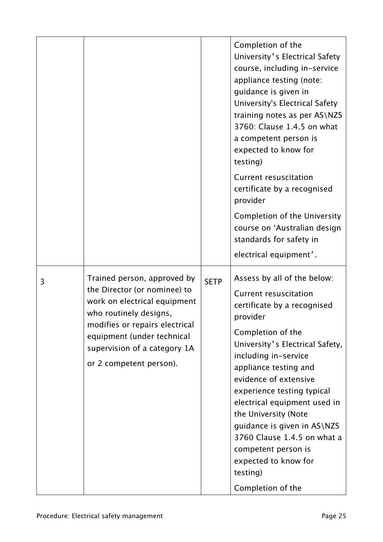|   |                                                                                                                                                                                                                                                  |             | Completion of the<br>University's Electrical Safety<br>course, including in-service<br>appliance testing (note:<br>guidance is given in<br>University's Electrical Safety<br>training notes as per AS\NZS<br>3760: Clause 1.4.5 on what<br>a competent person is<br>expected to know for<br>testing)<br><b>Current resuscitation</b><br>certificate by a recognised<br>provider<br>Completion of the University<br>course on 'Australian design<br>standards for safety in<br>electrical equipment'. |
|---|--------------------------------------------------------------------------------------------------------------------------------------------------------------------------------------------------------------------------------------------------|-------------|------------------------------------------------------------------------------------------------------------------------------------------------------------------------------------------------------------------------------------------------------------------------------------------------------------------------------------------------------------------------------------------------------------------------------------------------------------------------------------------------------|
| 3 | Trained person, approved by<br>the Director (or nominee) to<br>work on electrical equipment<br>who routinely designs,<br>modifies or repairs electrical<br>equipment (under technical<br>supervision of a category 1A<br>or 2 competent person). | <b>SETP</b> | Assess by all of the below:<br><b>Current resuscitation</b><br>certificate by a recognised<br>provider<br>Completion of the<br>University's Electrical Safety,<br>including in-service<br>appliance testing and<br>evidence of extensive<br>experience testing typical<br>electrical equipment used in<br>the University (Note<br>guidance is given in AS\NZS<br>3760 Clause 1.4.5 on what a<br>competent person is<br>expected to know for<br>testing)<br>Completion of the                         |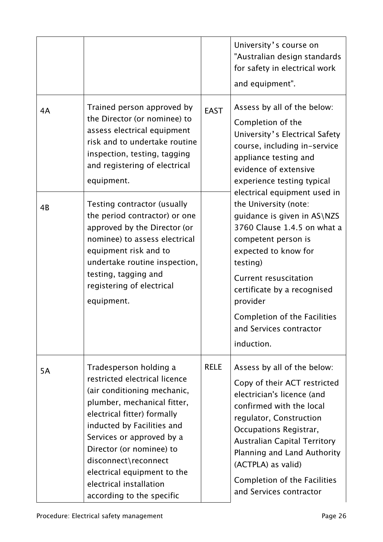|           |                                                                                                                                                                                                                                                                                                                                                            |             | University's course on<br>"Australian design standards<br>for safety in electrical work<br>and equipment".                                                                                                                                                                                                                         |
|-----------|------------------------------------------------------------------------------------------------------------------------------------------------------------------------------------------------------------------------------------------------------------------------------------------------------------------------------------------------------------|-------------|------------------------------------------------------------------------------------------------------------------------------------------------------------------------------------------------------------------------------------------------------------------------------------------------------------------------------------|
| 4A        | Trained person approved by<br>the Director (or nominee) to<br>assess electrical equipment<br>risk and to undertake routine<br>inspection, testing, tagging<br>and registering of electrical<br>equipment.                                                                                                                                                  | <b>EAST</b> | Assess by all of the below:<br>Completion of the<br>University's Electrical Safety<br>course, including in-service<br>appliance testing and<br>evidence of extensive<br>experience testing typical                                                                                                                                 |
| 4B        | Testing contractor (usually<br>the period contractor) or one<br>approved by the Director (or<br>nominee) to assess electrical<br>equipment risk and to<br>undertake routine inspection,<br>testing, tagging and<br>registering of electrical<br>equipment.                                                                                                 |             | electrical equipment used in<br>the University (note:<br>guidance is given in AS\NZS<br>3760 Clause 1.4.5 on what a<br>competent person is<br>expected to know for<br>testing)<br><b>Current resuscitation</b><br>certificate by a recognised<br>provider<br>Completion of the Facilities<br>and Services contractor<br>induction. |
| <b>5A</b> | Tradesperson holding a<br>restricted electrical licence<br>(air conditioning mechanic,<br>plumber, mechanical fitter,<br>electrical fitter) formally<br>inducted by Facilities and<br>Services or approved by a<br>Director (or nominee) to<br>disconnect\reconnect<br>electrical equipment to the<br>electrical installation<br>according to the specific | <b>RELE</b> | Assess by all of the below:<br>Copy of their ACT restricted<br>electrician's licence (and<br>confirmed with the local<br>regulator, Construction<br>Occupations Registrar,<br><b>Australian Capital Territory</b><br>Planning and Land Authority<br>(ACTPLA) as valid)<br>Completion of the Facilities<br>and Services contractor  |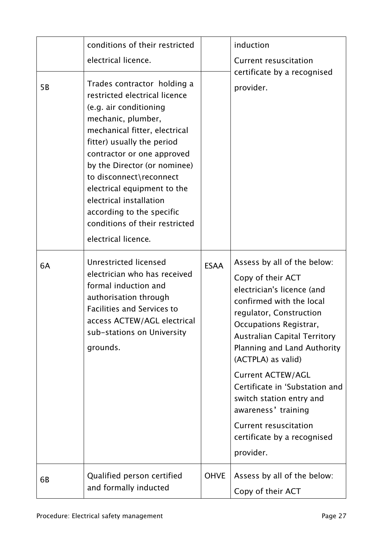| 5 <sub>B</sub> | conditions of their restricted<br>electrical licence.<br>Trades contractor holding a<br>restricted electrical licence<br>(e.g. air conditioning<br>mechanic, plumber,<br>mechanical fitter, electrical<br>fitter) usually the period<br>contractor or one approved<br>by the Director (or nominee)<br>to disconnect\reconnect<br>electrical equipment to the<br>electrical installation<br>according to the specific<br>conditions of their restricted<br>electrical licence. |             | induction<br><b>Current resuscitation</b><br>certificate by a recognised<br>provider.                                                                                                                                                                                                                                                                                                                                                                    |
|----------------|-------------------------------------------------------------------------------------------------------------------------------------------------------------------------------------------------------------------------------------------------------------------------------------------------------------------------------------------------------------------------------------------------------------------------------------------------------------------------------|-------------|----------------------------------------------------------------------------------------------------------------------------------------------------------------------------------------------------------------------------------------------------------------------------------------------------------------------------------------------------------------------------------------------------------------------------------------------------------|
| 6A             | Unrestricted licensed<br>electrician who has received<br>formal induction and<br>authorisation through<br><b>Facilities and Services to</b><br>access ACTEW/AGL electrical<br>sub-stations on University<br>grounds.                                                                                                                                                                                                                                                          | <b>ESAA</b> | Assess by all of the below:<br>Copy of their ACT<br>electrician's licence (and<br>confirmed with the local<br>regulator, Construction<br>Occupations Registrar,<br><b>Australian Capital Territory</b><br>Planning and Land Authority<br>(ACTPLA) as valid)<br><b>Current ACTEW/AGL</b><br>Certificate in 'Substation and<br>switch station entry and<br>awareness' training<br><b>Current resuscitation</b><br>certificate by a recognised<br>provider. |
| 6B             | Qualified person certified<br>and formally inducted                                                                                                                                                                                                                                                                                                                                                                                                                           | <b>OHVE</b> | Assess by all of the below:<br>Copy of their ACT                                                                                                                                                                                                                                                                                                                                                                                                         |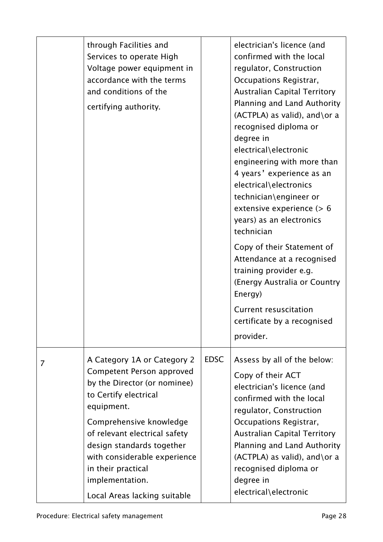|   | through Facilities and<br>Services to operate High<br>Voltage power equipment in<br>accordance with the terms<br>and conditions of the<br>certifying authority.                                                                                                                                                                   |             | electrician's licence (and<br>confirmed with the local<br>regulator, Construction<br>Occupations Registrar,<br><b>Australian Capital Territory</b><br>Planning and Land Authority<br>$(ACTPLA)$ as valid), and \or a<br>recognised diploma or<br>degree in<br>electrical\electronic<br>engineering with more than<br>4 years' experience as an<br>electrical\electronics<br>technician\engineer or<br>extensive experience $(> 6$<br>years) as an electronics<br>technician<br>Copy of their Statement of<br>Attendance at a recognised<br>training provider e.g.<br>(Energy Australia or Country<br>Energy)<br><b>Current resuscitation</b><br>certificate by a recognised<br>provider. |
|---|-----------------------------------------------------------------------------------------------------------------------------------------------------------------------------------------------------------------------------------------------------------------------------------------------------------------------------------|-------------|------------------------------------------------------------------------------------------------------------------------------------------------------------------------------------------------------------------------------------------------------------------------------------------------------------------------------------------------------------------------------------------------------------------------------------------------------------------------------------------------------------------------------------------------------------------------------------------------------------------------------------------------------------------------------------------|
| 7 | A Category 1A or Category 2<br>Competent Person approved<br>by the Director (or nominee)<br>to Certify electrical<br>equipment.<br>Comprehensive knowledge<br>of relevant electrical safety<br>design standards together<br>with considerable experience<br>in their practical<br>implementation.<br>Local Areas lacking suitable | <b>EDSC</b> | Assess by all of the below:<br>Copy of their ACT<br>electrician's licence (and<br>confirmed with the local<br>regulator, Construction<br>Occupations Registrar,<br><b>Australian Capital Territory</b><br>Planning and Land Authority<br>$(ACTPLA)$ as valid), and \or a<br>recognised diploma or<br>degree in<br>electrical\electronic                                                                                                                                                                                                                                                                                                                                                  |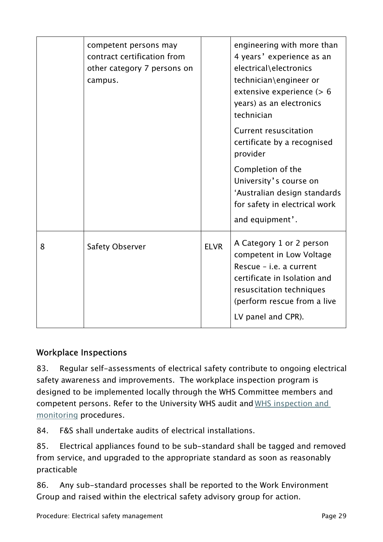|   | competent persons may<br>contract certification from<br>other category 7 persons on<br>campus. |             | engineering with more than<br>4 years' experience as an<br>electrical\electronics<br>technician\engineer or<br>extensive experience (> 6<br>years) as an electronics<br>technician<br><b>Current resuscitation</b><br>certificate by a recognised<br>provider<br>Completion of the<br>University's course on<br>'Australian design standards<br>for safety in electrical work<br>and equipment'. |
|---|------------------------------------------------------------------------------------------------|-------------|--------------------------------------------------------------------------------------------------------------------------------------------------------------------------------------------------------------------------------------------------------------------------------------------------------------------------------------------------------------------------------------------------|
| 8 | <b>Safety Observer</b>                                                                         | <b>ELVR</b> | A Category 1 or 2 person<br>competent in Low Voltage<br>Rescue - i.e. a current<br>certificate in Isolation and<br>resuscitation techniques<br>(perform rescue from a live<br>LV panel and CPR).                                                                                                                                                                                                 |

# Workplace Inspections

83. Regular self-assessments of electrical safety contribute to ongoing electrical safety awareness and improvements. The workplace inspection program is designed to be implemented locally through the WHS Committee members and competent persons. Refer to the University WHS audit and [WHS inspection and](https://policies.anu.edu.au/ppl/document/ANUP_015816)  [monitoring](https://policies.anu.edu.au/ppl/document/ANUP_015816) procedures.

84. F&S shall undertake audits of electrical installations.

85. Electrical appliances found to be sub-standard shall be tagged and removed from service, and upgraded to the appropriate standard as soon as reasonably practicable

86. Any sub-standard processes shall be reported to the Work Environment Group and raised within the electrical safety advisory group for action.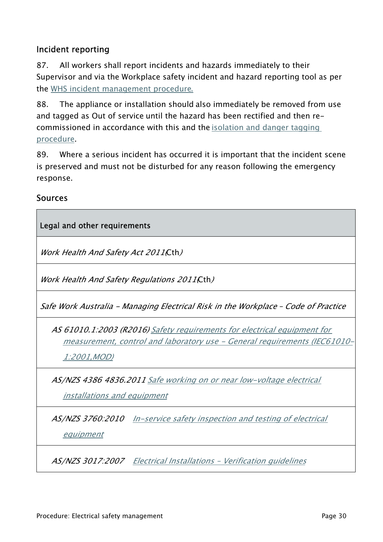### Incident reporting

87. All workers shall report incidents and hazards immediately to their Supervisor and via the Workplace safety incident and hazard reporting tool as per the [WHS incident management procedure](https://policies.anu.edu.au/ppl/document/ANUP_015813).

88. The appliance or installation should also immediately be removed from use and tagged as Out of service until the hazard has been rectified and then recommissioned in accordance with this and the [isolation and danger tagging](https://policies.anu.edu.au/ppl/document/ANUP_000571)  [procedure](https://policies.anu.edu.au/ppl/document/ANUP_000571).

89. Where a serious incident has occurred it is important that the incident scene is preserved and must not be disturbed for any reason following the emergency response.

#### Sources

Г

| Legal and other requirements                                                                                                                                                |
|-----------------------------------------------------------------------------------------------------------------------------------------------------------------------------|
| <i>Work Health And Safety Act 2011(Cth)</i>                                                                                                                                 |
| Work Health And Safety Regulations 2011(Cth)                                                                                                                                |
| Safe Work Australia - Managing Electrical Risk in the Workplace - Code of Practice                                                                                          |
| AS 61010.1.2003 (R2016) Safety requirements for electrical equipment for<br>measurement, control and laboratory use - General requirements (IEC61010-<br><u>1:2001,MOD)</u> |
| AS/NZS 4386 4836.2011 Safe working on or near low-voltage electrical<br><u>installations and equipment</u>                                                                  |
| AS/NZS 3760.2010 In-service safety inspection and testing of electrical<br>equipment                                                                                        |
| AS/NZS 3017:2007    Electrical Installations - Verification quidelines                                                                                                      |